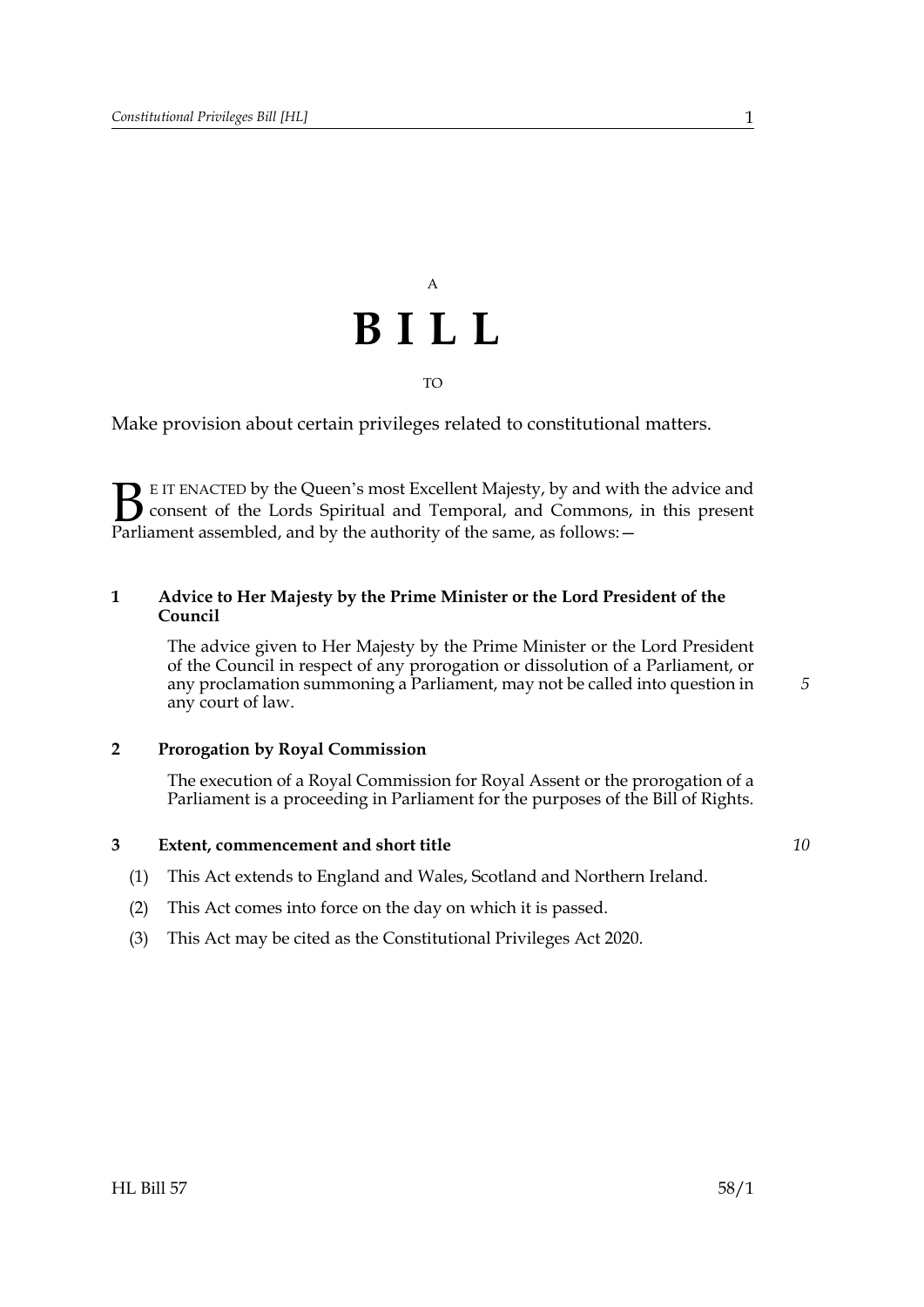# A **BILL** TO

Make provision about certain privileges related to constitutional matters.

E IT ENACTED by the Queen's most Excellent Majesty, by and with the advice and consent of the Lords Spiritual and Temporal, and Commons, in this present **B** EIT ENACTED by the Queen's most Excellent Majesty, by and with consent of the Lords Spiritual and Temporal, and Commons, Parliament assembled, and by the authority of the same, as follows:  $-$ 

### **1 Advice to Her Majesty by the Prime Minister or the Lord President of the Council**

 The advice given to Her Majesty by the Prime Minister or the Lord President of the Council in respect of any prorogation or dissolution of a Parliament, or any proclamation summoning a Parliament, may not be called into question in any court of law.

#### **2 Prorogation by Royal Commission**

 The execution of a Royal Commission for Royal Assent or the prorogation of a Parliament is a proceeding in Parliament for the purposes of the Bill of Rights.

#### **3 Extent, commencement and short title**

- (1) This Act extends to England and Wales, Scotland and Northern Ireland.
- (2) This Act comes into force on the day on which it is passed.
- (3) This Act may be cited as the Constitutional Privileges Act 2020.

*10*